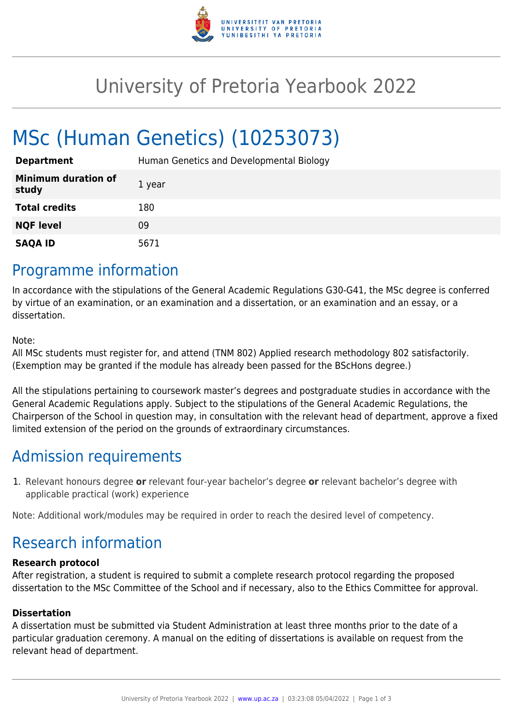

## University of Pretoria Yearbook 2022

# MSc (Human Genetics) (10253073)

| <b>Department</b>                   | Human Genetics and Developmental Biology |
|-------------------------------------|------------------------------------------|
| <b>Minimum duration of</b><br>study | 1 year                                   |
| <b>Total credits</b>                | 180                                      |
| <b>NQF level</b>                    | 09                                       |
| <b>SAQA ID</b>                      | 5671                                     |

### Programme information

In accordance with the stipulations of the General Academic Regulations G30-G41, the MSc degree is conferred by virtue of an examination, or an examination and a dissertation, or an examination and an essay, or a dissertation.

Note:

All MSc students must register for, and attend (TNM 802) Applied research methodology 802 satisfactorily. (Exemption may be granted if the module has already been passed for the BScHons degree.)

All the stipulations pertaining to coursework master's degrees and postgraduate studies in accordance with the General Academic Regulations apply. Subject to the stipulations of the General Academic Regulations, the Chairperson of the School in question may, in consultation with the relevant head of department, approve a fixed limited extension of the period on the grounds of extraordinary circumstances.

## Admission requirements

1. Relevant honours degree **or** relevant four-year bachelor's degree **or** relevant bachelor's degree with applicable practical (work) experience

Note: Additional work/modules may be required in order to reach the desired level of competency.

## Research information

#### **Research protocol**

After registration, a student is required to submit a complete research protocol regarding the proposed dissertation to the MSc Committee of the School and if necessary, also to the Ethics Committee for approval.

#### **Dissertation**

A dissertation must be submitted via Student Administration at least three months prior to the date of a particular graduation ceremony. A manual on the editing of dissertations is available on request from the relevant head of department.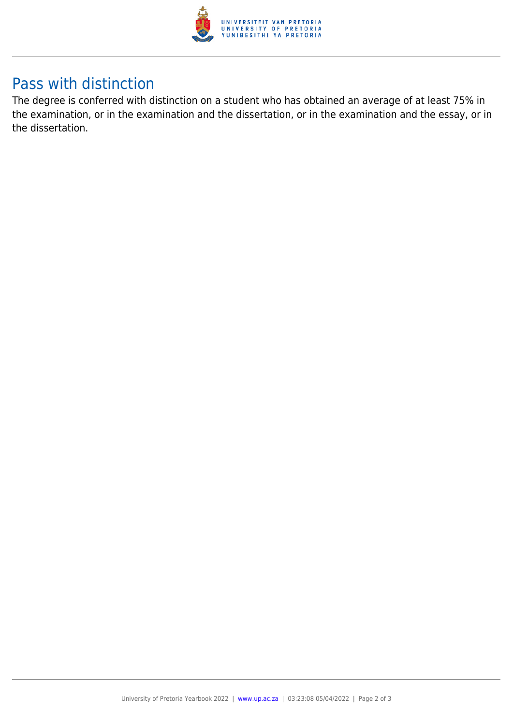

### Pass with distinction

The degree is conferred with distinction on a student who has obtained an average of at least 75% in the examination, or in the examination and the dissertation, or in the examination and the essay, or in the dissertation.